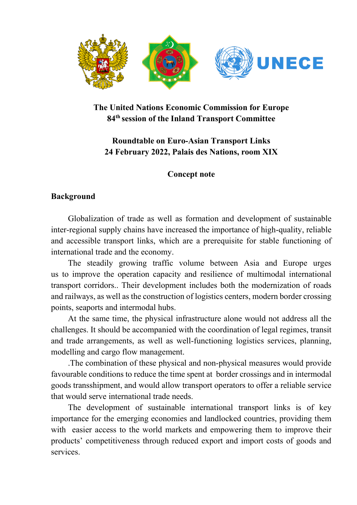

# **The United Nations Economic Commission for Europe 84th session of the Inland Transport Committee**

## **Roundtable on Euro-Asian Transport Links 24 February 2022, Palais des Nations, room XIX**

### **Concept note**

#### **Background**

Globalization of trade as well as formation and development of sustainable inter-regional supply chains have increased the importance of high-quality, reliable and accessible transport links, which are a prerequisite for stable functioning of international trade and the economy.

The steadily growing traffic volume between Asia and Europe urges us to improve the operation capacity and resilience of multimodal international transport corridors.. Their development includes both the modernization of roads and railways, as well as the construction of logistics centers, modern border crossing points, seaports and intermodal hubs.

At the same time, the physical infrastructure alone would not address all the challenges. It should be accompanied with the coordination of legal regimes, transit and trade arrangements, as well as well-functioning logistics services, planning, modelling and cargo flow management.

.The combination of these physical and non-physical measures would provide favourable conditions to reduce the time spent at border crossings and in intermodal goods transshipment, and would allow transport operators to offer a reliable service that would serve international trade needs.

The development of sustainable international transport links is of key importance for the emerging economies and landlocked countries, providing them with easier access to the world markets and empowering them to improve their products' competitiveness through reduced export and import costs of goods and services.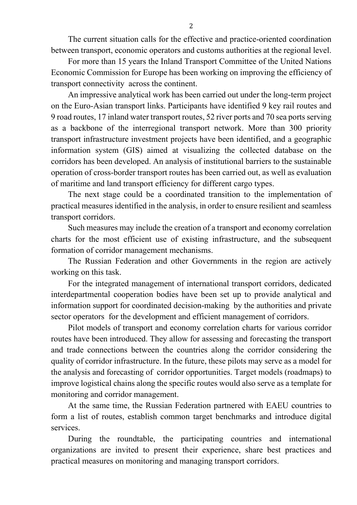The current situation calls for the effective and practice-oriented coordination between transport, economic operators and customs authorities at the regional level.

For more than 15 years the Inland Transport Committee of the United Nations Economic Commission for Europe has been working on improving the efficiency of transport connectivity across the continent.

An impressive analytical work has been carried out under the long-term project on the Euro-Asian transport links. Participants have identified 9 key rail routes and 9 road routes, 17 inland water transport routes, 52 river ports and 70 sea ports serving as a backbone of the interregional transport network. More than 300 priority transport infrastructure investment projects have been identified, and a geographic information system (GIS) aimed at visualizing the collected database on the corridors has been developed. An analysis of institutional barriers to the sustainable operation of cross-border transport routes has been carried out, as well as evaluation of maritime and land transport efficiency for different cargo types.

The next stage could be a coordinated transition to the implementation of practical measures identified in the analysis, in order to ensure resilient and seamless transport corridors.

Such measures may include the creation of a transport and economy correlation charts for the most efficient use of existing infrastructure, and the subsequent formation of corridor management mechanisms.

The Russian Federation and other Governments in the region are actively working on this task.

For the integrated management of international transport corridors, dedicated interdepartmental cooperation bodies have been set up to provide analytical and information support for coordinated decision-making by the authorities and private sector operators for the development and efficient management of corridors.

Pilot models of transport and economy correlation charts for various corridor routes have been introduced. They allow for assessing and forecasting the transport and trade connections between the countries along the corridor considering the quality of corridor infrastructure. In the future, these pilots may serve as a model for the analysis and forecasting of corridor opportunities. Target models (roadmaps) to improve logistical chains along the specific routes would also serve as a template for monitoring and corridor management.

At the same time, the Russian Federation partnered with EAEU countries to form a list of routes, establish common target benchmarks and introduce digital services.

During the roundtable, the participating countries and international organizations are invited to present their experience, share best practices and practical measures on monitoring and managing transport corridors.